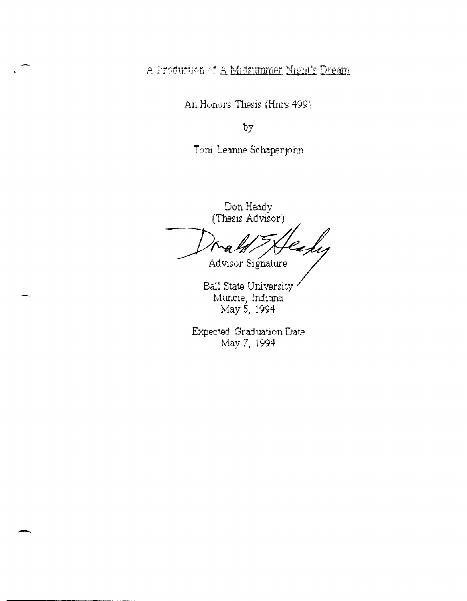A Production of A Midsummer Night's Dream

An Honors Thesis (Hnrs 499)

 $b\bar{y}$ 

Toni Leanne Schaperjohn

Don Heady (Thesis Advisor) Advisor Signature

Ball State University Muncie, Indiana May 5, 1994

Expected Graduation Date May 7, 1994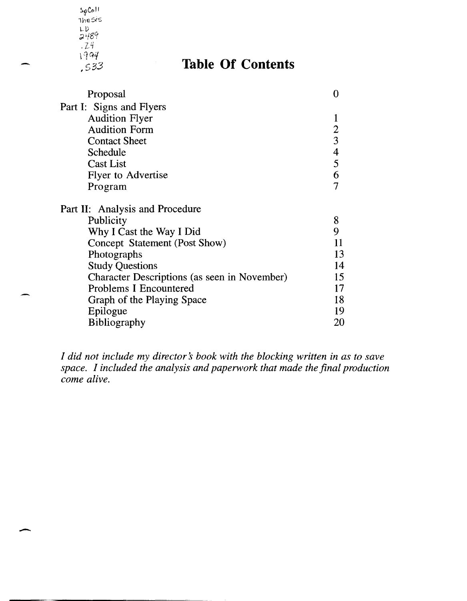$\mathsf{Sp} \mathsf{Co} \mathsf{H}$  , lheSfS Lv ;}.l/69 . Z 4

-

-

### \ 1 *q'l* **Table Of Contents** , <sup>533</sup>

| Proposal                                     | 0             |
|----------------------------------------------|---------------|
| Part I: Signs and Flyers                     |               |
| <b>Audition Flyer</b>                        |               |
| <b>Audition Form</b>                         |               |
| <b>Contact Sheet</b>                         | $\frac{2}{3}$ |
| Schedule                                     | $\frac{4}{5}$ |
| <b>Cast List</b>                             |               |
| <b>Flyer to Advertise</b>                    | 6             |
| Program                                      |               |
| Part II: Analysis and Procedure              |               |
| Publicity                                    | 8             |
| Why I Cast the Way I Did                     | 9             |
| Concept Statement (Post Show)                | 11            |
| Photographs                                  | 13            |
| <b>Study Questions</b>                       | 14            |
| Character Descriptions (as seen in November) | 15            |
| <b>Problems I Encountered</b>                | 17            |
| Graph of the Playing Space                   | 18            |
| Epilogue                                     | 19            |
| <b>Bibliography</b>                          | 20            |

*I did not include my director* s *book with the blocking written in as to save space. I included the analysis and paperwork that made the final production come alive.*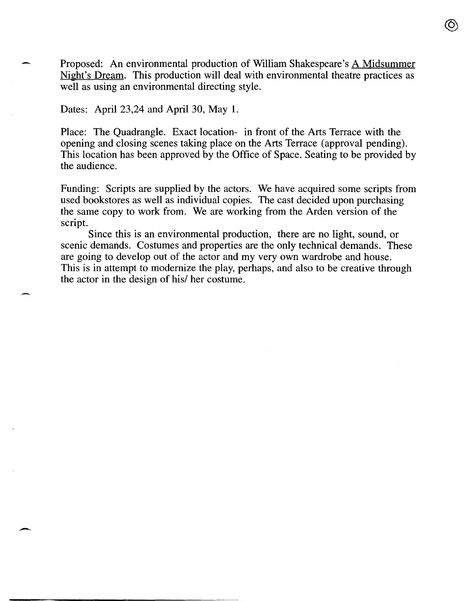- Proposed: An environmental production of William Shakespeare's A Midsummer Night's Dream. This production will deal with environmental theatre practices as well as using an environmental directing style.

 $\circledS$ 

Dates: April 23,24 and April 30, May 1.

Place: The Quadrangle. Exact location- in front of the Arts Terrace with the opening and closing scenes taking place on the Arts Terrace (approval pending). This location has been approved by the Office of Space. Seating to be provided by the audience.

Funding: Scripts are supplied by the actors. We have acquired some scripts from used bookstores as well as individual copies. The cast decided upon purchasing the same copy to work from. We are working from the Arden version of the script.

Since this is an environmental production, there are no light, sound, or scenic demands. Costumes and properties are the only technical demands. These are going to develop out of the actor and my very own wardrobe and house. This is in attempt to modernize the play, perhaps, and also to be creative through the actor in the design of his/ her costume.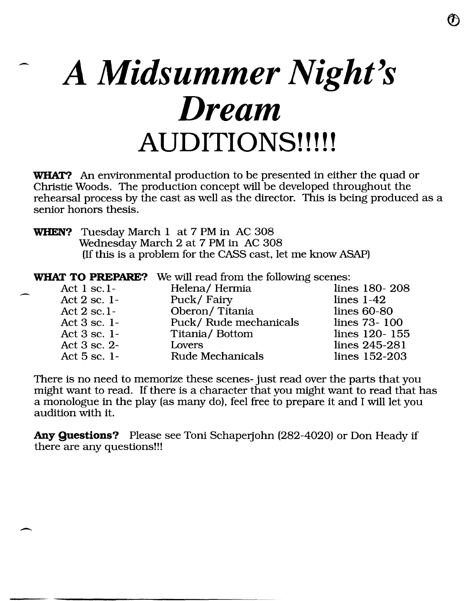## *A Midsummer Night's Dream*  **AUDITIONS!!!!!**

**WHAT?** An environmental production to be presented in either the quad or Christie Woods. The production concept will be developed throughout the rehearsal process by the cast as well as the director. This is being produced as a senior honors thesis.

| <b>WHEN?</b> Tuesday March 1 at 7 PM in AC 308             |
|------------------------------------------------------------|
| Wednesday March 2 at 7 PM in AC 308                        |
| (If this is a problem for the CASS cast, let me know ASAP) |

**WHAT TO PREPARE?** We will read from the following scenes:

-

-

--

| Act $1$ sc. $1$ - | Helena/Hermia         | lines 180-208 |
|-------------------|-----------------------|---------------|
| Act 2 sc. 1-      | Puck/Fairy            | lines $1-42$  |
| Act $2$ sc. 1-    | Oberon/Titania        | $lines 60-80$ |
| Act 3 sc. 1-      | Puck/Rude mechanicals | lines 73-100  |
| Act 3 sc. 1-      | Titania/Bottom        | lines 120-155 |
| Act 3 sc. 2-      | Lovers                | lines 245-281 |
| Act 5 sc. 1-      | Rude Mechanicals      | lines 152-203 |

There is no need to memorize these scenes- just read over the parts that you might want to read. If there is a character that you might want to read that has a monologue in the play (as many do), feel free to prepare it and I will let you audition with it.

**Any Questions?** Please see Toni Schaperjohn (282-4020) or Don Heady if there are any questions!!!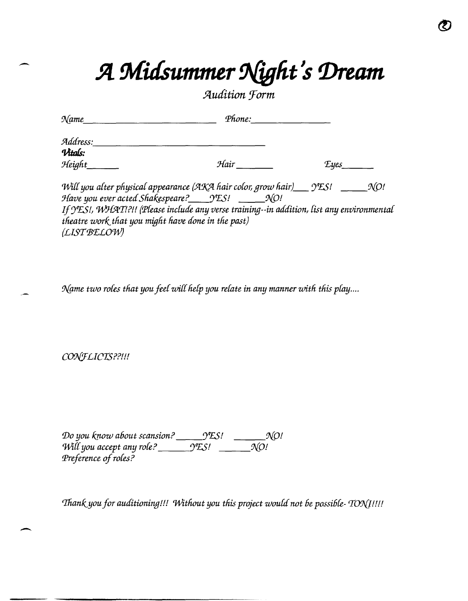## A Midsummer Night's Dream

Audition Form

| Name                                               | Phone:                                                                                    |                 |
|----------------------------------------------------|-------------------------------------------------------------------------------------------|-----------------|
| Address:                                           |                                                                                           |                 |
| Vitals:                                            |                                                                                           |                 |
| Height                                             | Hair                                                                                      | <b>Eyes</b>     |
|                                                    | Will you alter physical appearance (AKA hair color, grow hair) __ YES!                    | $\mathcal{N}O!$ |
|                                                    | Have you ever acted Shakespeare? 9'ES! _____ NO!                                          |                 |
|                                                    | If YES!, WHAT!?!! (Please include any verse training--in addition, list any environmental |                 |
| theatre work that you might have done in the past) |                                                                                           |                 |
| (LIST BELOW)                                       |                                                                                           |                 |

Name two roles that you feel will help you relate in any manner with this play....

CONFLICTS??!!!

Do you know about scansion? \_\_\_\_\_\_\_ YES!  $\mathcal{N}$ O! Preference of roles?

Thank you for auditioning!!! Without you this project would not be possible TONI!!!!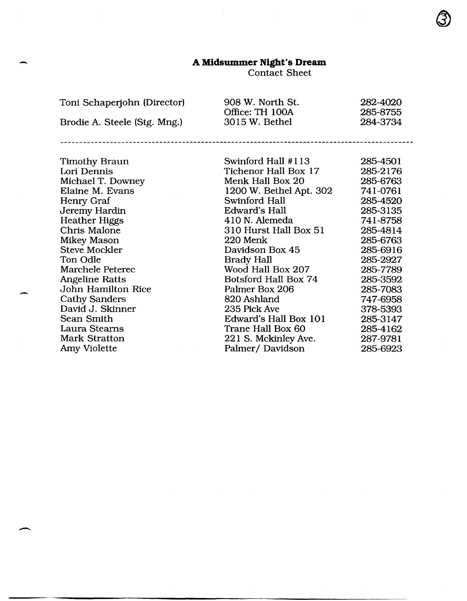#### **A Midsummer Night's Dream**

 $\bar{\mathcal{A}}$ 

Contact Sheet

| Toni Schaperjohn (Director)<br>Brodie A. Steele (Stg. Mng.) | 908 W. North St.<br>Office: TH 100A<br>3015 W. Bethel | 282-4020<br>285-8755<br>284-3734 |
|-------------------------------------------------------------|-------------------------------------------------------|----------------------------------|
|                                                             |                                                       |                                  |
| Timothy Braun                                               | Swinford Hall #113                                    | 285-4501                         |
| Lori Dennis                                                 | Tichenor Hall Box 17<br>Menk Hall Box 20              | 285-2176<br>285-6763             |
| Michael T. Downey<br>Elaine M. Evans                        | 1200 W. Bethel Apt. 302                               | 741-0761                         |
| Henry Graf                                                  | Swinford Hall                                         | 285-4520                         |
| Jeremy Hardin                                               | <b>Edward's Hall</b>                                  | 285-3135                         |
| <b>Heather Higgs</b>                                        | 410 N. Alemeda                                        | 741-8758                         |
| Chris Malone                                                | 310 Hurst Hall Box 51                                 | 285-4814                         |
| <b>Mikey Mason</b>                                          | 220 Menk                                              | 285-6763                         |
| <b>Steve Mockler</b>                                        | Davidson Box 45                                       | 285-6916                         |
| Ton Odle                                                    | <b>Brady Hall</b>                                     | 285-2927                         |
| <b>Marchele Peterec</b>                                     | Wood Hall Box 207                                     | 285-7789                         |
| <b>Angeline Ratts</b>                                       | Botsford Hall Box 74                                  | 285-3592                         |
| <b>John Hamilton Rice</b>                                   | Palmer Box 206                                        | 285-7083                         |
| <b>Cathy Sanders</b>                                        | 820 Ashland                                           | 747-6958                         |
| David J. Skinner                                            | 235 Pick Ave                                          | 378-5393                         |
| Sean Smith                                                  | Edward's Hall Box 101                                 | 285-3147                         |
| Laura Stearns                                               | Trane Hall Box 60                                     | 285-4162                         |
| <b>Mark Stratton</b>                                        | 221 S. Mckinley Ave.                                  | 287-9781                         |
| Amy Violette                                                | Palmer/Davidson                                       | 285-6923                         |

-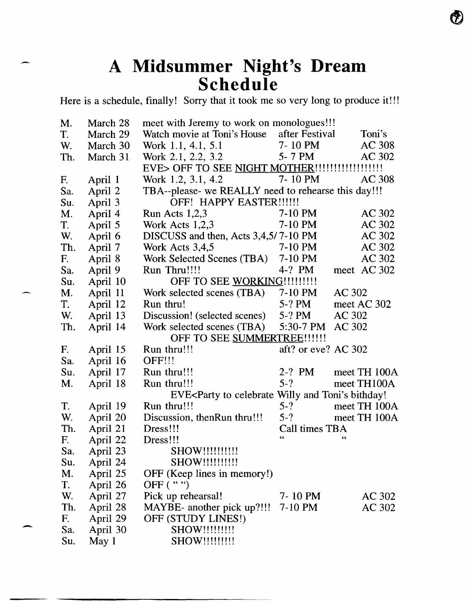### **A Midsummer Night's Dream Schedule**

 $\bigcirc$ 

Here is a schedule, finally! Sorry that it took me so very long to produce it!!!

| M.                                                                                  | March 28 | meet with Jeremy to work on monologues!!!           |                     |                 |
|-------------------------------------------------------------------------------------|----------|-----------------------------------------------------|---------------------|-----------------|
| T.                                                                                  | March 29 | Watch movie at Toni's House after Festival          |                     | Toni's          |
| W.                                                                                  | March 30 | Work 1.1, 4.1, 5.1                                  | 7-10 PM             | <b>AC 308</b>   |
| Th.                                                                                 | March 31 | Work 2.1, 2.2, 3.2                                  | 5-7 PM              | AC 302          |
|                                                                                     |          | EVE> OFF TO SEE NIGHT MOTHER!!!!!!!!!!!!!!!!!!!!    |                     |                 |
| F.                                                                                  | April 1  | Work 1.2, 3.1, 4.2                                  | $7-10$ PM           | <b>AC 308</b>   |
| Sa.                                                                                 | April 2  | TBA--please- we REALLY need to rehearse this day!!! |                     |                 |
| Su.                                                                                 | April 3  | OFF! HAPPY EASTER!!!!!!                             |                     |                 |
| M.                                                                                  | April 4  |                                                     | 7-10 PM             | AC 302          |
| T.                                                                                  | April 5  | Run Acts $1,2,3$<br>Work Acts $1,2,3$               | 7-10 PM             | <b>AC 302</b>   |
| W.                                                                                  | April 6  | DISCUSS and then, Acts 3,4,5/7-10 PM                |                     | AC 302          |
| Th.                                                                                 | April 7  | Work Acts 3,4,5                                     | 7-10 PM             | AC 302          |
| $F_{\cdot}$                                                                         | April 8  | Work Selected Scenes (TBA) 7-10 PM                  |                     | AC 302          |
| Sa.                                                                                 | April 9  | Run Thru!!!!                                        | 4-? PM              | meet AC 302     |
| Su.                                                                                 | April 10 | OFF TO SEE WORKING!!!!!!!!!                         |                     |                 |
| M.                                                                                  | April 11 | Work selected scenes (TBA) 7-10 PM                  |                     | AC 302          |
| T.                                                                                  | April 12 | Run thru!                                           | $5-?$ PM            | meet AC 302     |
| W.                                                                                  | April 13 | Discussion! (selected scenes)                       | $5-?$ PM            | AC 302          |
| Th.                                                                                 | April 14 | Work selected scenes (TBA)                          | 5:30-7 PM           | AC 302          |
| OFF TO SEE SUMMERTREE!!!!!!                                                         |          |                                                     |                     |                 |
| F.                                                                                  | April 15 | Run thru!!!                                         | aft? or eve? AC 302 |                 |
| Sa.                                                                                 | April 16 | <b>OFF!!!</b>                                       |                     |                 |
| Su.                                                                                 | April 17 | Run thru!!!                                         | $2-?$ PM            | meet TH 100A    |
| M.                                                                                  | April 18 | Run thru!!!                                         | $5 - ?$             | meet TH100A     |
| EVE <party and="" bithday!<="" celebrate="" td="" to="" toni's="" willy=""></party> |          |                                                     |                     |                 |
| T.                                                                                  | April 19 | Run thru!!!                                         | $5 - ?$             | meet TH 100A    |
| W.                                                                                  | April 20 | Discussion, then Run thru!!!                        | $5-?$               | meet TH 100A    |
| Th.                                                                                 | April 21 | Dress!!!                                            | Call times TBA      |                 |
| F.                                                                                  | April 22 | Dress!!!                                            | 66                  | $\zeta$ $\zeta$ |
| Sa.                                                                                 | April 23 | SHOW!!!!!!!!!!                                      |                     |                 |
| Su.                                                                                 | April 24 | SHOW!!!!!!!!!!                                      |                     |                 |
| M.                                                                                  | April 25 | OFF (Keep lines in memory!)                         |                     |                 |
| T.                                                                                  | April 26 | OFF $($ " " $)$                                     |                     |                 |
| W.                                                                                  | April 27 | Pick up rehearsal!                                  | 7-10 PM             | AC 302          |
| Th.                                                                                 | April 28 | MAYBE- another pick up?!!!                          | $7-10$ PM           | AC 302          |
| F.                                                                                  | April 29 | OFF (STUDY LINES!)                                  |                     |                 |
| Sa.                                                                                 | April 30 | SHOW!!!!!!!!!                                       |                     |                 |
| Su.                                                                                 | May 1    | SHOW!!!!!!!!!                                       |                     |                 |

-

-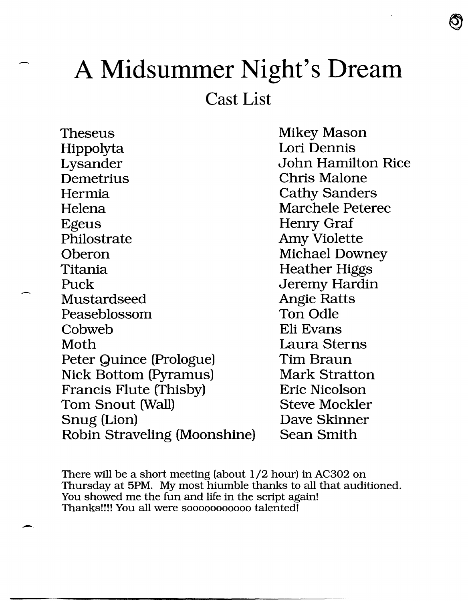### A Midsummer Night's Dream Cast List

**Theseus** Hippolyta Lysander Demetrius Hermia **Helena** Egeus Philostrate Oberon Titania Puck Mustardseed Peaseblossom **Cobweb** Moth Peter Quince (Prologue) Nick Bottom (Pyramus) Francis Flute (Thisby) Tom Snout (Wall) Snug (Lion) Robin Straveling (Moonshine)

-

-

-

Mikey Mason Lori Dennis John Hamilton Rice Chris Malone Cathy Sanders Marchele Peterec Henry Graf Amy Violette Michael Downey Heather Higgs Jeremy Hardin Angie Ratts Ton OdIe Eli Evans Laura Sterns Tim Braun Mark Stratton Eric Nicolson Steve Mockler Dave Skinner Sean Smith

There will be a short meeting (about 1/2 hour) in AC302 on Thursday at 5PM. My most hiumble thanks to all that auditioned. You showed me the fun and life in the script again! Thanks!!!! You all were sooooooooooo talented!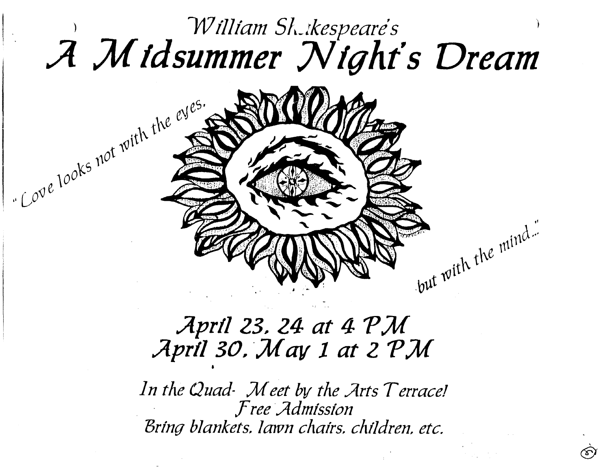## William Sh. kespeare's A Midsummer Night's Dream

Cove looks not with the eyes.

## April 23. 24 at 4 PM April 30. May 1 at 2 PM

but with the mind."

 $\circledS$ 

In the Quad- Meet by the Arts Terrace! Free Admission Bring blankets, lawn chairs, children, etc.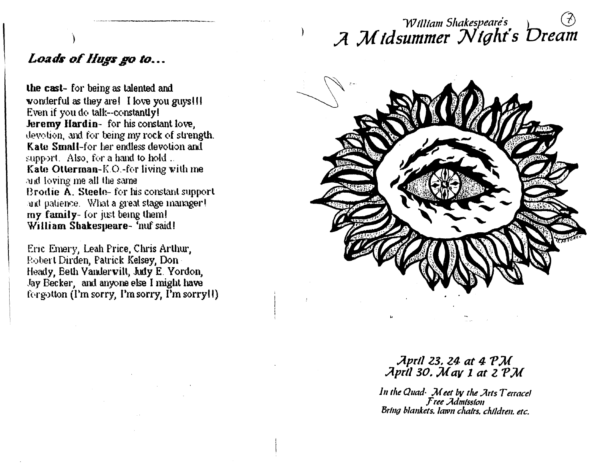# William Shakespeare's<br>A Midsummer Night's Dream

### Loads of Hugs go to...

the cast-for being as talented and wonderful as they are! I love you guys!!! Even if you do talk--constantly! Jeremy Hardin- for his constant love. devotion, and for being my rock of strength. Kate Small-for her endless devotion and support. Also, for a hand to hold... Kate Otterman-K.O.-for living with me and loving me all the same Brodie A. Steele-for his constant support and patience. What a great stage manager! my family- for just being them! William Shakespeare- 'nuf said!

Eric Emery, Leah Price, Chris Arthur, Robert Dirden, Patrick Kelsey, Don Heady, Beth Vanderwilt, Judy E. Yordon, Jay Becker, and anyone else I might have forgotton (I'm sorry, I'm sorry, I'm sorry!!)



#### $\lambda$ pril 23. 24 at 4  $\mathcal{PM}$  $\lambda$ pril 30.  $\mathcal{M}$ ay 1 at 2  $\mathcal{PM}$

In the Quad- Meet by the Arts Terracel *Free Admission* Bring blankets. lawn chairs, children, etc.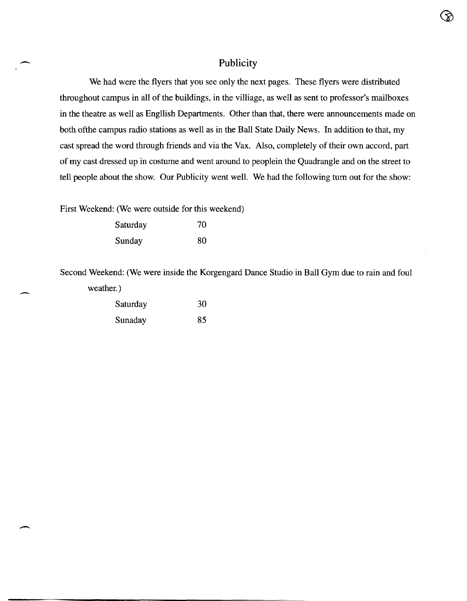#### **Publicity**

We had were the flyers that you see only the next pages. These flyers were distributed throughout campus in all of the buildings, in the villiage, as well as sent to professor's mailboxes in the theatre as well as Engllish Departments. Other than that, there were announcements made on both of the campus radio stations as well as in the Ball State Daily News. In addition to that, my cast spread the word through friends and via the Vax. Also, completely of their own accord, part of my cast dressed up in costume and went around to peoplein the Quadrangle and on the street to tell people about the show. Our Publicity went well. We had the following tum out for the show:

First Weekend: (We were outside for this weekend)

-

-

| Saturday | 70 |
|----------|----|
| Sunday   | 80 |

Second Weekend: (We were inside the Korgengard Dance Studio in Ball Gym due to rain and foul weather.)

| Saturday | 30 |
|----------|----|
| Sunaday  | 85 |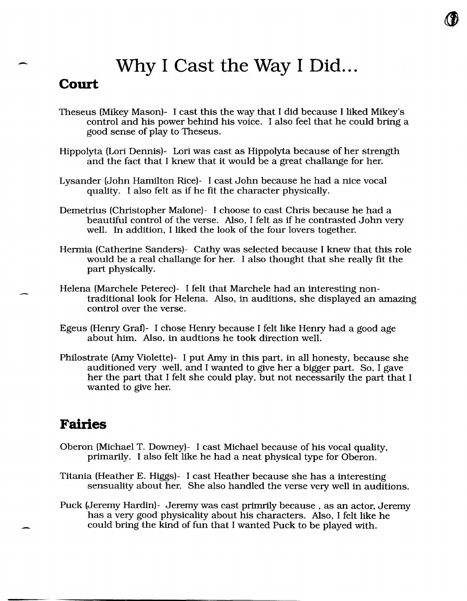## - Why **I Cast the** Way **I Did ... Court**

- Theseus (Mikey Mason)- I cast this the way that I did because I liked Mikey's control and his power behind his voice. I also feel that he could bring a good sense of play to Theseus.
- Hippolyta (Lori Dennis)- Lori was cast as Hippolyta because of her strength and the fact that I knew that it would be a great challange for her.
- Lysander (John Hamilton Rice)- I cast John because he had a nice vocal quality. I also felt as if he fit the character physically.
- Demetrius (Christopher Malone)- I choose to cast Chris because he had a beautiful control of the verse. Also, I felt as if he contrasted John very well. In addition, I liked the look of the four lovers together.
- Hermia (Catherine Sanders)- Cathy was selected because I knew that this role would be a real challange for her. I also thought that she really fit the part physically.
- Helena (Marchele Peterec)- I felt that Marchele had an interesting nontraditional look for Helena. Also, in auditions, she displayed an amazing control over the verse.
- Egeus (Henry Graf)- I chose Henry because I felt like Henry had a good age about him. Also, in audtions he took direction well.
- Philostrate (Amy Violette)- I put Amy in this part, in all honesty, because she auditioned very well, and I wanted to give her a bigger part. So, I gave her the part that I felt she could play, but not necessarily the part that I wanted to give her.

#### **Fairies**

- Oberon (Michael T. Downey)- I cast Michael because of his vocal quality, primarily. I also felt like he had a neat physical type for Oberon.
- Titania (Heather E. Higgs)- I cast Heather because she has a interesting sensuality about her. She also handled the verse very well in auditions.
- Puck (Jeremy Hardin)- Jeremy was cast primrily because, as an actor, Jeremy has a very good physicality about his characters. Also, I felt like he could bring the kind of fun that I wanted Puck to be played with.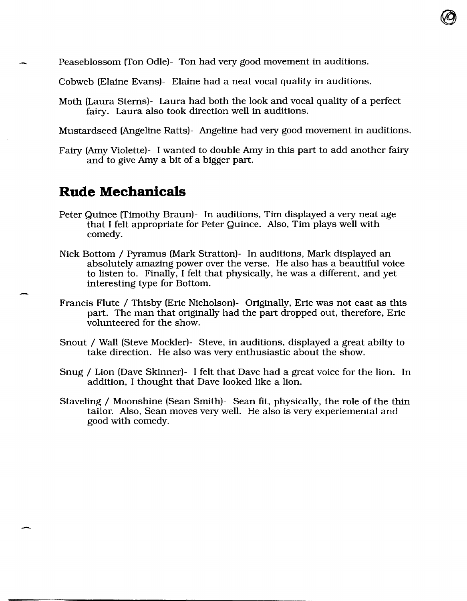Peaseblossom (Ton Odle)- Ton had very good movement in auditions.

Cobweb (Elaine Evans)- Elaine had a neat vocal quality in auditions.

Moth (Laura Sterns)- Laura had both the look and vocal quality of a perfect fairy. Laura also took direction well in auditions.

Mustardseed (Angeline Ratts)- Angeline had very good movement in auditions.

Fairy (Amy Violette)- I wanted to double Amy in this part to add another fairy and to give Amy a bit of a bigger part.

#### **Rude Mechanicals**

-

- Peter Quince (Timothy Braun)- In auditions, Tim displayed a very neat age that I felt appropriate for Peter Quince. Also, Tim plays well with comedy.
- Nick Bottom / Pyramus (Mark Stratton)- In auditions, Mark displayed an absolutely amazing power over the verse. He also has a beautiful voice to listen to. Finally, I felt that physically, he was a different, and yet interesting type for Bottom.
- Francis Flute / Thisby (Eric Nicholson)- Originally, Eric was not cast as this part. The man that originally had the part dropped out, therefore, Eric volunteered for the show.
- Snout / Wall (Steve Mockler)- Steve, in auditions, displayed a great abilty to take direction. He also was very enthusiastic about the show.
- Snug / Lion (Dave Skinner)- I felt that Dave had a great voice for the lion. In addition, I thought that Dave looked like a lion.
- Staveling / Moonshine (Sean Smith)- Sean fit, physically, the role of the thin tailor. Also, Sean moves very well. He also is very experiemental and good with comedy.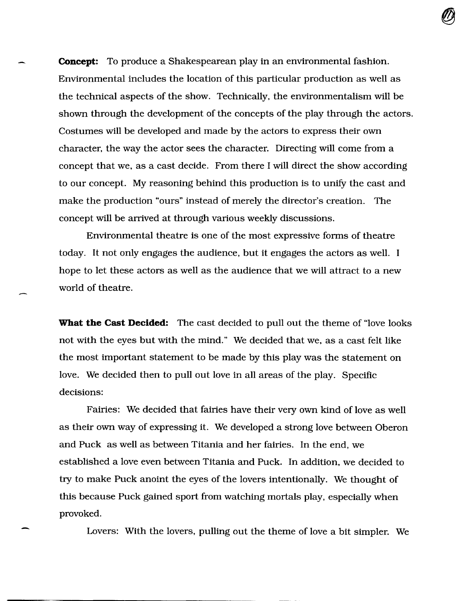**Concept:** To produce a Shakespearean play in an environmental fashion. Environmental includes the location of this particular production as well as the technical aspects of the show. Technically, the environmentalism will be shown through the development of the concepts of the play through the actors. Costumes will be developed and made by the actors to express their own character, the way the actor sees the character. Directing will come from a concept that we, as a cast decide. From there I will direct the show according to our concept. My reasoning behind this production is to unify the cast and make the production "ours" instead of merely the director's creation. The concept will be arrived at through various weekly discussions.

Environmental theatre is one of the most expressive forms of theatre today. It not only engages the audience, but it engages the actors as well. I hope to let these actors as well as the audience that we will attract to a new world of theatre.

**What the Cast Decided:** The cast decided to pull out the theme of "love looks not with the eyes but with the mind." We decided that we, as a cast felt like the most important statement to be made by this play was the statement on love. We decided then to pull out love in all areas of the play. Specific decisions:

Fairies: We decided that fairies have their very own kind of love as well as their own way of expressing it. We developed a strong love between Oberon and Puck as well as between Titania and her fairies. In the end, we established a love even between Titania and Puck. In addition, we decided to try to make Puck anoint the eyes of the lovers intentionally. We thought of this because Puck gained sport from watching mortals play, especially when provoked.

Lovers: With the lovers, pulling out the theme of love a bit simpler. We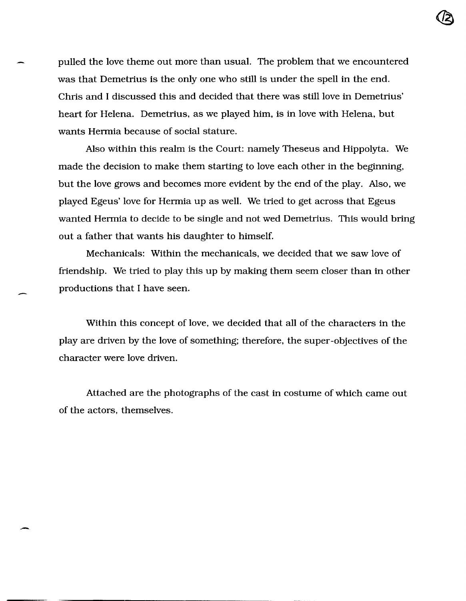pulled the love theme out more than usual. The problem that we encountered was that Demetrius is the only one who still is under the spell in the end. Chris and I discussed this and decided that there was still love in Demetrius' heart for Helena. Demetrius, as we played him, is in love with Helena, but wants Hermia because of social stature.

Also within this realm is the Court: namely Theseus and Hippolyta. We made the decision to make them starting to love each other in the beginning, but the love grows and becomes more evident by the end of the play. Also, we played Egeus' love for Hermia up as well. We tried to get across that Egeus wanted Hermia to decide to be single and not wed Demetrius. This would bring out a father that wants his daughter to himself.

Mechanicals: Within the mechanicals, we decided that we saw love of friendship. We tried to play this up by making them seem closer than in other productions that I have seen.

--

.-

Within this concept of love. we decided that all of the characters in the play are driven by the love of something; therefore. the super-objectives of the character were love driven.

Attached are the photographs of the cast in costume of which came out of the actors, themselves .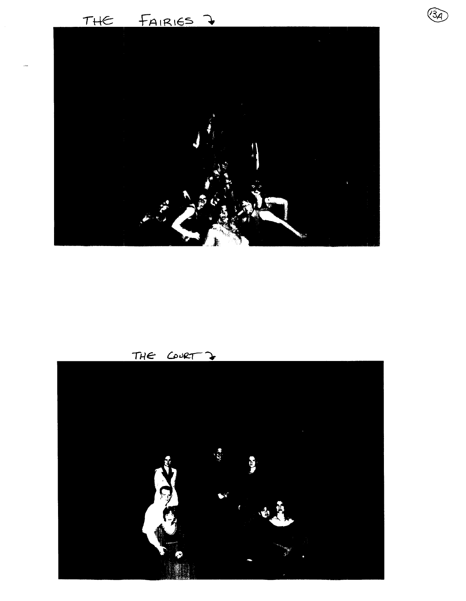THE FAIRIES ?



 $\bigotimes$ 

THE COVET 2

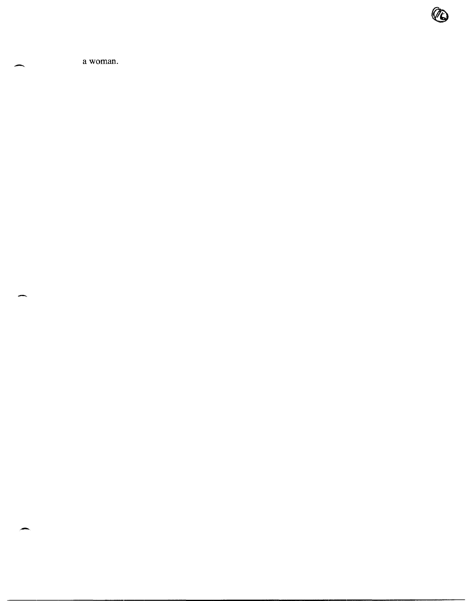a woman.

(PD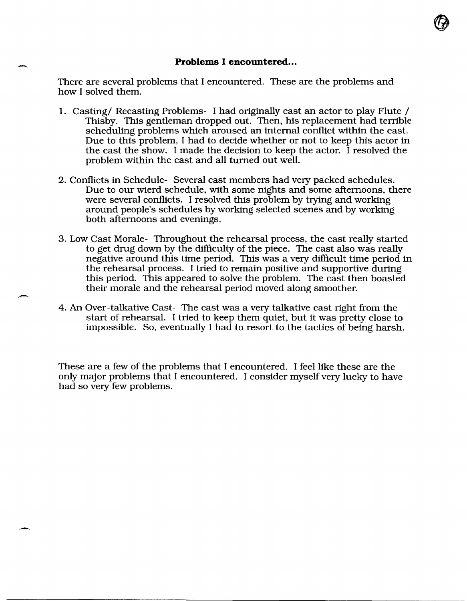#### **Problems I encountered...**

There are several problems that I encountered. These are the problems and how I solved them.

-

 $\overline{\phantom{0}}$ 

- 1. Casting/ Recasting Problems- I had originally cast an actor to play Flute / Thisby. This gentleman dropped out. Then, his replacement had terrible scheduling problems which aroused an internal conflict within the cast. Due to this problem, I had to decide whether or not to keep this actor in the cast the show. I made the decision to keep the actor. I resolved the problem within the cast and all turned out well.
- 2. Conflicts in Schedule- Several cast members had very packed schedules. Due to our wierd schedule, with some nights and some afternoons, there were several conflicts. I resolved this problem by trying and working around people's schedules by working selected scenes and by working both afternoons and evenings.
- 3. Low Cast Morale- Throughout the rehearsal process, the cast really started to get drug down by the difficulty of the piece. The cast also was really negative around this time period. This was a very difficult time period in the rehearsal process. I tried to remain positive and supportive during this period. This appeared to solve the problem. The cast then boasted their morale and the rehearsal period moved along smoother.
- 4. An Over-talkative Cast- The cast was a very talkative cast right from the start of rehearsal. I tried to keep them quiet, but it was pretty close to impossible. So, eventually I had to resort to the tactics of being harsh.

These are a few of the problems that I encountered. I feel like these are the only major problems that I encountered. I consider myself very lucky to have had so very few problems.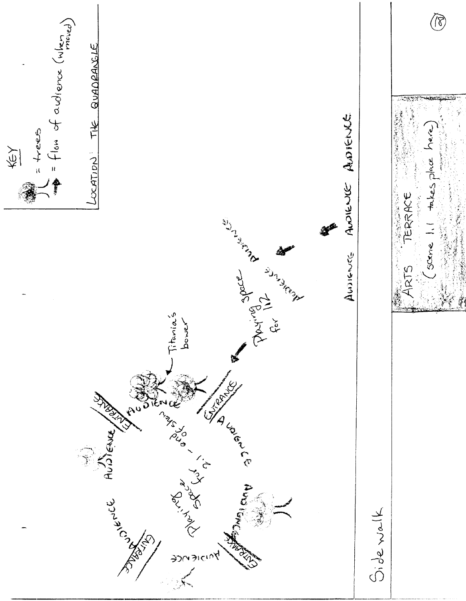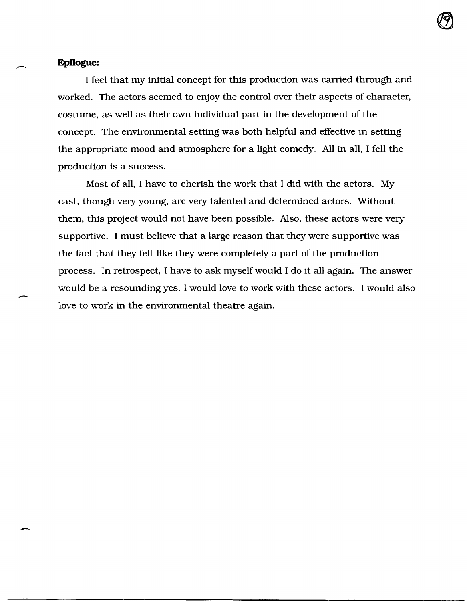

#### **Epilogue:**

-

-

I feel that my initial concept for this production was carried through and worked. The actors seemed to enjoy the control over their aspects of character, costume, as well as their own individual part in the development of the concept. The environmental setting was both helpful and effective in setting the appropriate mood and atmosphere for a light comedy. All in all, I fell the production is a success.

Most of all, I have to cherish the work that I did with the actors. My cast, though very young, are very talented and determined actors. Without them, this project would not have been possible. Also, these actors were very supportive. I must believe that a large reason that they were supportive was the fact that they felt like they were completely a part of the production process. In retrospect, I have to ask myself would I do it all again. The answer would be a resounding yes. I would love to work with these actors. I would also love to work in the environmental theatre again.